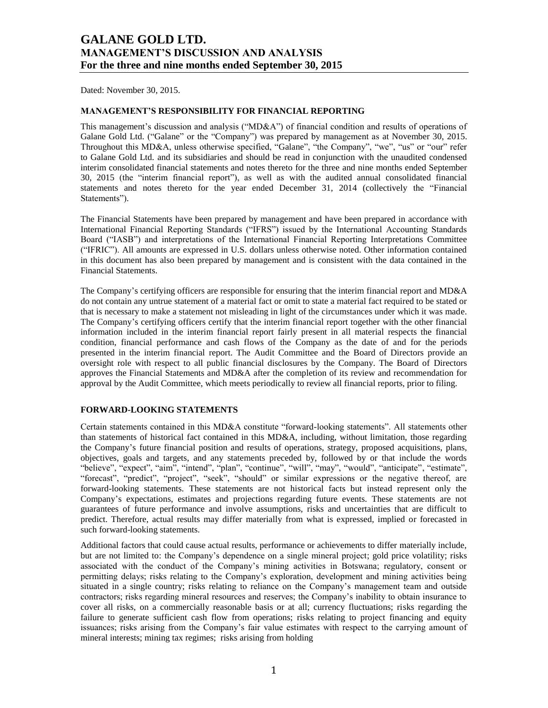Dated: November 30, 2015.

### **MANAGEMENT'S RESPONSIBILITY FOR FINANCIAL REPORTING**

This management's discussion and analysis ("MD&A") of financial condition and results of operations of Galane Gold Ltd. ("Galane" or the "Company") was prepared by management as at November 30, 2015. Throughout this MD&A, unless otherwise specified, "Galane", "the Company", "we", "us" or "our" refer to Galane Gold Ltd. and its subsidiaries and should be read in conjunction with the unaudited condensed interim consolidated financial statements and notes thereto for the three and nine months ended September 30, 2015 (the "interim financial report"), as well as with the audited annual consolidated financial statements and notes thereto for the year ended December 31, 2014 (collectively the "Financial Statements").

The Financial Statements have been prepared by management and have been prepared in accordance with International Financial Reporting Standards ("IFRS") issued by the International Accounting Standards Board ("IASB") and interpretations of the International Financial Reporting Interpretations Committee ("IFRIC"). All amounts are expressed in U.S. dollars unless otherwise noted. Other information contained in this document has also been prepared by management and is consistent with the data contained in the Financial Statements.

The Company's certifying officers are responsible for ensuring that the interim financial report and MD&A do not contain any untrue statement of a material fact or omit to state a material fact required to be stated or that is necessary to make a statement not misleading in light of the circumstances under which it was made. The Company's certifying officers certify that the interim financial report together with the other financial information included in the interim financial report fairly present in all material respects the financial condition, financial performance and cash flows of the Company as the date of and for the periods presented in the interim financial report. The Audit Committee and the Board of Directors provide an oversight role with respect to all public financial disclosures by the Company. The Board of Directors approves the Financial Statements and MD&A after the completion of its review and recommendation for approval by the Audit Committee, which meets periodically to review all financial reports, prior to filing.

### **FORWARD-LOOKING STATEMENTS**

Certain statements contained in this MD&A constitute "forward-looking statements". All statements other than statements of historical fact contained in this MD&A, including, without limitation, those regarding the Company's future financial position and results of operations, strategy, proposed acquisitions, plans, objectives, goals and targets, and any statements preceded by, followed by or that include the words "believe", "expect", "aim", "intend", "plan", "continue", "will", "may", "would", "anticipate", "estimate", "forecast", "predict", "project", "seek", "should" or similar expressions or the negative thereof, are forward-looking statements. These statements are not historical facts but instead represent only the Company's expectations, estimates and projections regarding future events. These statements are not guarantees of future performance and involve assumptions, risks and uncertainties that are difficult to predict. Therefore, actual results may differ materially from what is expressed, implied or forecasted in such forward-looking statements.

Additional factors that could cause actual results, performance or achievements to differ materially include, but are not limited to: the Company's dependence on a single mineral project; gold price volatility; risks associated with the conduct of the Company's mining activities in Botswana; regulatory, consent or permitting delays; risks relating to the Company's exploration, development and mining activities being situated in a single country; risks relating to reliance on the Company's management team and outside contractors; risks regarding mineral resources and reserves; the Company's inability to obtain insurance to cover all risks, on a commercially reasonable basis or at all; currency fluctuations; risks regarding the failure to generate sufficient cash flow from operations; risks relating to project financing and equity issuances; risks arising from the Company's fair value estimates with respect to the carrying amount of mineral interests; mining tax regimes; risks arising from holding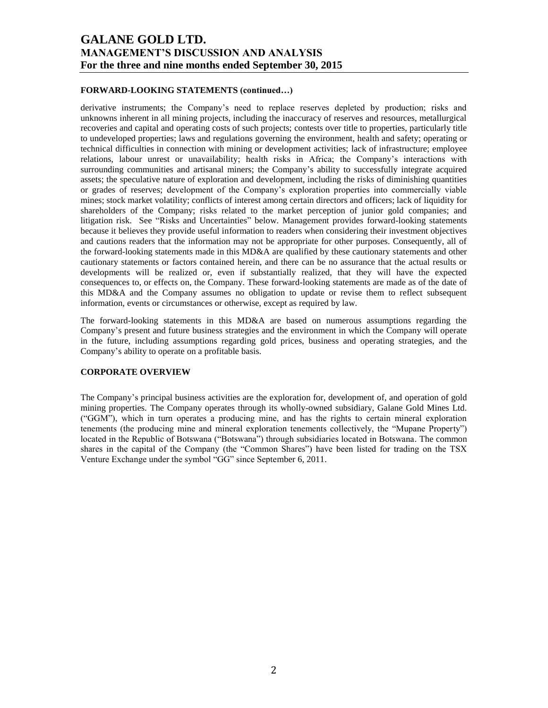### **FORWARD-LOOKING STATEMENTS (continued…)**

derivative instruments; the Company's need to replace reserves depleted by production; risks and unknowns inherent in all mining projects, including the inaccuracy of reserves and resources, metallurgical recoveries and capital and operating costs of such projects; contests over title to properties, particularly title to undeveloped properties; laws and regulations governing the environment, health and safety; operating or technical difficulties in connection with mining or development activities; lack of infrastructure; employee relations, labour unrest or unavailability; health risks in Africa; the Company's interactions with surrounding communities and artisanal miners; the Company's ability to successfully integrate acquired assets; the speculative nature of exploration and development, including the risks of diminishing quantities or grades of reserves; development of the Company's exploration properties into commercially viable mines; stock market volatility; conflicts of interest among certain directors and officers; lack of liquidity for shareholders of the Company; risks related to the market perception of junior gold companies; and litigation risk. See "Risks and Uncertainties" below. Management provides forward-looking statements because it believes they provide useful information to readers when considering their investment objectives and cautions readers that the information may not be appropriate for other purposes. Consequently, all of the forward-looking statements made in this MD&A are qualified by these cautionary statements and other cautionary statements or factors contained herein, and there can be no assurance that the actual results or developments will be realized or, even if substantially realized, that they will have the expected consequences to, or effects on, the Company. These forward-looking statements are made as of the date of this MD&A and the Company assumes no obligation to update or revise them to reflect subsequent information, events or circumstances or otherwise, except as required by law.

The forward-looking statements in this MD&A are based on numerous assumptions regarding the Company's present and future business strategies and the environment in which the Company will operate in the future, including assumptions regarding gold prices, business and operating strategies, and the Company's ability to operate on a profitable basis.

### **CORPORATE OVERVIEW**

The Company's principal business activities are the exploration for, development of, and operation of gold mining properties. The Company operates through its wholly-owned subsidiary, Galane Gold Mines Ltd. ("GGM"), which in turn operates a producing mine, and has the rights to certain mineral exploration tenements (the producing mine and mineral exploration tenements collectively, the "Mupane Property") located in the Republic of Botswana ("Botswana") through subsidiaries located in Botswana. The common shares in the capital of the Company (the "Common Shares") have been listed for trading on the TSX Venture Exchange under the symbol "GG" since September 6, 2011.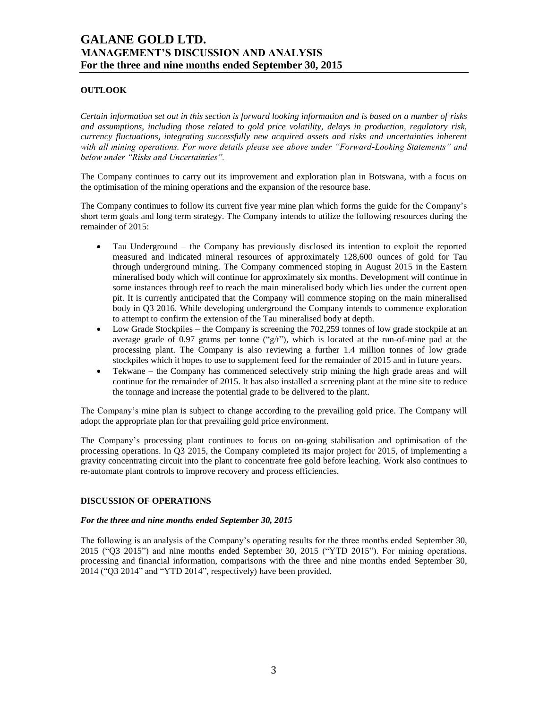# **OUTLOOK**

*Certain information set out in this section is forward looking information and is based on a number of risks and assumptions, including those related to gold price volatility, delays in production, regulatory risk, currency fluctuations, integrating successfully new acquired assets and risks and uncertainties inherent with all mining operations. For more details please see above under "Forward-Looking Statements" and below under "Risks and Uncertainties".*

The Company continues to carry out its improvement and exploration plan in Botswana, with a focus on the optimisation of the mining operations and the expansion of the resource base.

The Company continues to follow its current five year mine plan which forms the guide for the Company's short term goals and long term strategy. The Company intends to utilize the following resources during the remainder of 2015:

- Tau Underground the Company has previously disclosed its intention to exploit the reported measured and indicated mineral resources of approximately 128,600 ounces of gold for Tau through underground mining. The Company commenced stoping in August 2015 in the Eastern mineralised body which will continue for approximately six months. Development will continue in some instances through reef to reach the main mineralised body which lies under the current open pit. It is currently anticipated that the Company will commence stoping on the main mineralised body in Q3 2016. While developing underground the Company intends to commence exploration to attempt to confirm the extension of the Tau mineralised body at depth.
- Low Grade Stockpiles the Company is screening the 702,259 tonnes of low grade stockpile at an average grade of 0.97 grams per tonne (" $g/t$ "), which is located at the run-of-mine pad at the processing plant. The Company is also reviewing a further 1.4 million tonnes of low grade stockpiles which it hopes to use to supplement feed for the remainder of 2015 and in future years.
- Tekwane the Company has commenced selectively strip mining the high grade areas and will continue for the remainder of 2015. It has also installed a screening plant at the mine site to reduce the tonnage and increase the potential grade to be delivered to the plant.

The Company's mine plan is subject to change according to the prevailing gold price. The Company will adopt the appropriate plan for that prevailing gold price environment.

The Company's processing plant continues to focus on on-going stabilisation and optimisation of the processing operations. In Q3 2015, the Company completed its major project for 2015, of implementing a gravity concentrating circuit into the plant to concentrate free gold before leaching. Work also continues to re-automate plant controls to improve recovery and process efficiencies.

## **DISCUSSION OF OPERATIONS**

### *For the three and nine months ended September 30, 2015*

The following is an analysis of the Company's operating results for the three months ended September 30, 2015 ("Q3 2015") and nine months ended September 30, 2015 ("YTD 2015"). For mining operations, processing and financial information, comparisons with the three and nine months ended September 30, 2014 ("Q3 2014" and "YTD 2014", respectively) have been provided.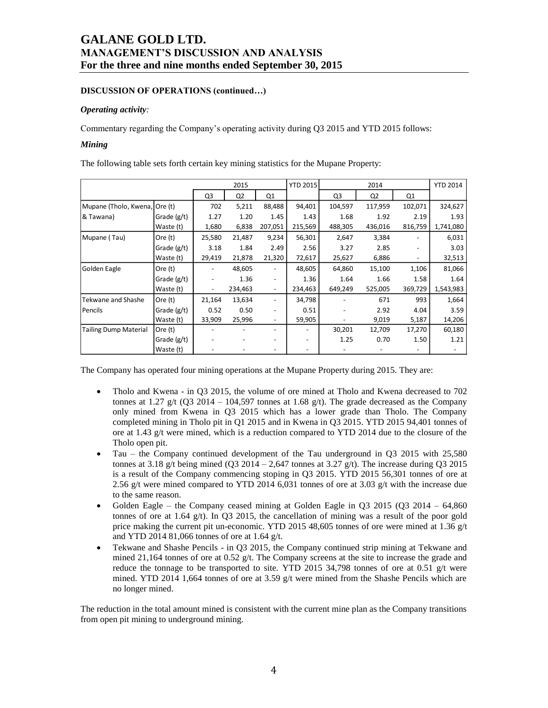## **DISCUSSION OF OPERATIONS (continued…)**

## *Operating activity:*

Commentary regarding the Company's operating activity during Q3 2015 and YTD 2015 follows:

### *Mining*

The following table sets forth certain key mining statistics for the Mupane Property:

|                               |               |                          | 2015           |                          | <b>YTD 2015</b> | 2014           |         | <b>YTD 2014</b> |           |
|-------------------------------|---------------|--------------------------|----------------|--------------------------|-----------------|----------------|---------|-----------------|-----------|
|                               |               | Q3                       | Q <sub>2</sub> | Q1                       |                 | Q <sub>3</sub> | Q2      | Q <sub>1</sub>  |           |
| Mupane (Tholo, Kwena, Ore (t) |               | 702                      | 5,211          | 88,488                   | 94,401          | 104,597        | 117,959 | 102,071         | 324,627   |
| & Tawana)                     | Grade $(g/t)$ | 1.27                     | 1.20           | 1.45                     | 1.43            | 1.68           | 1.92    | 2.19            | 1.93      |
|                               | Waste (t)     | 1,680                    | 6,838          | 207,051                  | 215,569         | 488,305        | 436,016 | 816,759         | 1,741,080 |
| Mupane (Tau)                  | Ore (t)       | 25,580                   | 21,487         | 9,234                    | 56,301          | 2,647          | 3,384   |                 | 6,031     |
|                               | Grade (g/t)   | 3.18                     | 1.84           | 2.49                     | 2.56            | 3.27           | 2.85    |                 | 3.03      |
|                               | Waste (t)     | 29,419                   | 21,878         | 21,320                   | 72,617          | 25,627         | 6,886   | -               | 32,513    |
| Golden Eagle                  | Ore (t)       |                          | 48,605         |                          | 48,605          | 64,860         | 15,100  | 1,106           | 81,066    |
|                               | Grade (g/t)   |                          | 1.36           | $\overline{\phantom{a}}$ | 1.36            | 1.64           | 1.66    | 1.58            | 1.64      |
|                               | Waste (t)     | $\overline{\phantom{a}}$ | 234,463        | $\overline{\phantom{a}}$ | 234,463         | 649,249        | 525,005 | 369,729         | 1,543,983 |
| Tekwane and Shashe            | Ore (t)       | 21,164                   | 13,634         |                          | 34,798          |                | 671     | 993             | 1,664     |
| Pencils                       | Grade $(g/t)$ | 0.52                     | 0.50           | $\overline{\phantom{a}}$ | 0.51            |                | 2.92    | 4.04            | 3.59      |
|                               | Waste (t)     | 33,909                   | 25,996         |                          | 59,905          |                | 9,019   | 5,187           | 14,206    |
| <b>Tailing Dump Material</b>  | Ore (t)       |                          |                |                          |                 | 30,201         | 12,709  | 17,270          | 60,180    |
|                               | Grade (g/t)   |                          |                |                          |                 | 1.25           | 0.70    | 1.50            | 1.21      |
|                               | Waste (t)     |                          |                |                          |                 |                |         |                 |           |

The Company has operated four mining operations at the Mupane Property during 2015. They are:

- Tholo and Kwena in Q3 2015, the volume of ore mined at Tholo and Kwena decreased to 702 tonnes at 1.27 g/t (O3 2014 – 104,597 tonnes at 1.68 g/t). The grade decreased as the Company only mined from Kwena in Q3 2015 which has a lower grade than Tholo. The Company completed mining in Tholo pit in Q1 2015 and in Kwena in Q3 2015. YTD 2015 94,401 tonnes of ore at 1.43 g/t were mined, which is a reduction compared to YTD 2014 due to the closure of the Tholo open pit.
- Tau the Company continued development of the Tau underground in Q3 2015 with 25,580 tonnes at 3.18 g/t being mined (Q3 2014 – 2,647 tonnes at 3.27 g/t). The increase during Q3 2015 is a result of the Company commencing stoping in Q3 2015. YTD 2015 56,301 tonnes of ore at 2.56 g/t were mined compared to YTD 2014 6,031 tonnes of ore at 3.03 g/t with the increase due to the same reason.
- Golden Eagle the Company ceased mining at Golden Eagle in Q3 2015 (Q3 2014 64,860 tonnes of ore at  $1.64$  g/t). In Q3 2015, the cancellation of mining was a result of the poor gold price making the current pit un-economic. YTD 2015 48,605 tonnes of ore were mined at 1.36 g/t and YTD 2014 81,066 tonnes of ore at 1.64 g/t.
- Tekwane and Shashe Pencils in Q3 2015, the Company continued strip mining at Tekwane and mined 21,164 tonnes of ore at 0.52  $g/t$ . The Company screens at the site to increase the grade and reduce the tonnage to be transported to site. YTD 2015 34,798 tonnes of ore at 0.51  $g/t$  were mined. YTD 2014 1,664 tonnes of ore at 3.59 g/t were mined from the Shashe Pencils which are no longer mined.

The reduction in the total amount mined is consistent with the current mine plan as the Company transitions from open pit mining to underground mining.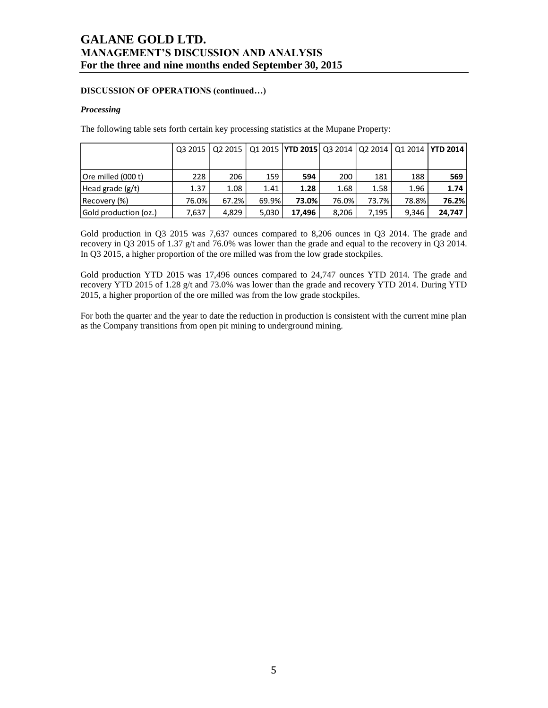## **DISCUSSION OF OPERATIONS (continued…)**

### *Processing*

The following table sets forth certain key processing statistics at the Mupane Property:

|                       |       | 03 2015   02 2015 |       | Q1 2015   YTD 2015   Q3 2014   Q2 2014 |       |       |       | Q1 2014   YTD 2014 |
|-----------------------|-------|-------------------|-------|----------------------------------------|-------|-------|-------|--------------------|
|                       |       |                   |       |                                        |       |       |       |                    |
| Ore milled (000 t)    | 228   | 206               | 159   | 594                                    | 200   | 181   | 188   | 569                |
| Head grade $(g/t)$    | 1.37  | 1.08              | 1.41  | 1.28                                   | 1.68  | 1.58  | 1.96  | 1.74               |
| Recovery (%)          | 76.0% | 67.2%             | 69.9% | 73.0%                                  | 76.0% | 73.7% | 78.8% | 76.2%              |
| Gold production (oz.) | 7,637 | 4,829             | 5,030 | 17.496                                 | 8,206 | 7,195 | 9.346 | 24.747             |

Gold production in Q3 2015 was 7,637 ounces compared to 8,206 ounces in Q3 2014. The grade and recovery in Q3 2015 of 1.37 g/t and 76.0% was lower than the grade and equal to the recovery in Q3 2014. In Q3 2015, a higher proportion of the ore milled was from the low grade stockpiles.

Gold production YTD 2015 was 17,496 ounces compared to 24,747 ounces YTD 2014. The grade and recovery YTD 2015 of 1.28 g/t and 73.0% was lower than the grade and recovery YTD 2014. During YTD 2015, a higher proportion of the ore milled was from the low grade stockpiles.

For both the quarter and the year to date the reduction in production is consistent with the current mine plan as the Company transitions from open pit mining to underground mining.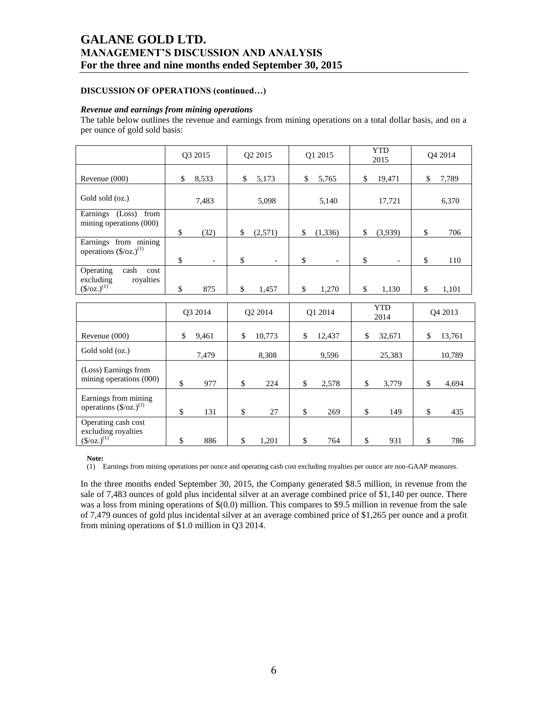# **DISCUSSION OF OPERATIONS (continued…)**

### *Revenue and earnings from mining operations*

The table below outlines the revenue and earnings from mining operations on a total dollar basis, and on a per ounce of gold sold basis:

|                                                                                             | Q3 2015                        | Q2 2015                        | Q1 2015                        | <b>YTD</b><br>2015 | Q4 2014      |
|---------------------------------------------------------------------------------------------|--------------------------------|--------------------------------|--------------------------------|--------------------|--------------|
| Revenue (000)                                                                               | \$<br>8,533                    | \$<br>5,173                    | \$<br>5,765                    | \$<br>19,471       | \$<br>7,789  |
| Gold sold (oz.)                                                                             | 7,483                          | 5,098                          | 5,140                          | 17,721             | 6,370        |
| Earnings (Loss)<br>from<br>mining operations (000)                                          | \$<br>(32)                     | \$<br>(2,571)                  | \$<br>(1,336)                  | \$<br>(3,939)      | \$<br>706    |
| Earnings from mining<br>operations $(\frac{6}{2})^{(1)}$                                    | \$<br>$\overline{\phantom{0}}$ | \$<br>$\overline{\phantom{a}}$ | \$<br>$\overline{\phantom{a}}$ | \$                 | \$<br>110    |
| Operating<br>cash<br>cost<br>royalties<br>excluding<br>$(\frac{\csc(1)}{2})$ <sup>(1)</sup> | \$<br>875                      | \$<br>1,457                    | \$<br>1,270                    | \$<br>1,130        | \$<br>1,101  |
|                                                                                             | Q3 2014                        | Q2 2014                        | Q1 2014                        | <b>YTD</b><br>2014 | Q4 2013      |
| Revenue (000)                                                                               | \$<br>9,461                    | \$<br>10,773                   | \$<br>12,437                   | \$<br>32,671       | \$<br>13,761 |
| Gold sold (oz.)                                                                             | 7,479                          | 8,308                          | 9,596                          | 25,383             | 10,789       |
| (Loss) Earnings from<br>mining operations (000)                                             | \$<br>977                      | \$<br>224                      | \$<br>2,578                    | \$<br>3,779        | \$<br>4,694  |
| Earnings from mining<br>operations $(\frac{6}{2})^{(1)}$                                    | \$<br>131                      | \$<br>27                       | \$<br>269                      | \$<br>149          | \$<br>435    |
| Operating cash cost<br>excluding royalties<br>$\frac{(S/OZ.)^{(1)}}{S}$                     | \$<br>886                      | \$<br>1,201                    | \$<br>764                      | \$<br>931          | \$<br>786    |

**Note:**

(1) Earnings from mining operations per ounce and operating cash cost excluding royalties per ounce are non-GAAP measures.

In the three months ended September 30, 2015, the Company generated \$8.5 million, in revenue from the sale of 7,483 ounces of gold plus incidental silver at an average combined price of \$1,140 per ounce. There was a loss from mining operations of  $$(0,0)$  million. This compares to \$9.5 million in revenue from the sale of 7,479 ounces of gold plus incidental silver at an average combined price of \$1,265 per ounce and a profit from mining operations of \$1.0 million in Q3 2014.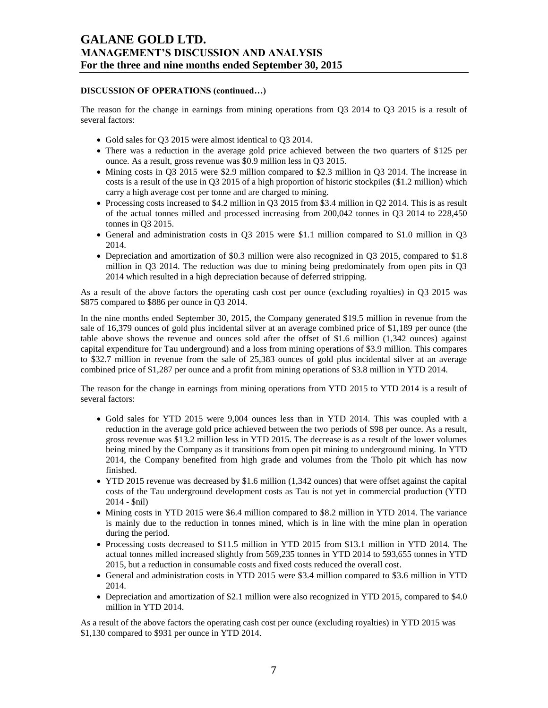## **DISCUSSION OF OPERATIONS (continued…)**

The reason for the change in earnings from mining operations from Q3 2014 to Q3 2015 is a result of several factors:

- Gold sales for Q3 2015 were almost identical to Q3 2014.
- There was a reduction in the average gold price achieved between the two quarters of \$125 per ounce. As a result, gross revenue was \$0.9 million less in Q3 2015.
- Mining costs in Q3 2015 were \$2.9 million compared to \$2.3 million in Q3 2014. The increase in costs is a result of the use in Q3 2015 of a high proportion of historic stockpiles (\$1.2 million) which carry a high average cost per tonne and are charged to mining.
- Processing costs increased to \$4.2 million in Q3 2015 from \$3.4 million in Q2 2014. This is as result of the actual tonnes milled and processed increasing from 200,042 tonnes in Q3 2014 to 228,450 tonnes in Q3 2015.
- General and administration costs in Q3 2015 were \$1.1 million compared to \$1.0 million in Q3 2014.
- Depreciation and amortization of \$0.3 million were also recognized in Q3 2015, compared to \$1.8 million in Q3 2014. The reduction was due to mining being predominately from open pits in Q3 2014 which resulted in a high depreciation because of deferred stripping.

As a result of the above factors the operating cash cost per ounce (excluding royalties) in Q3 2015 was \$875 compared to \$886 per ounce in Q3 2014.

In the nine months ended September 30, 2015, the Company generated \$19.5 million in revenue from the sale of 16,379 ounces of gold plus incidental silver at an average combined price of \$1,189 per ounce (the table above shows the revenue and ounces sold after the offset of \$1.6 million (1,342 ounces) against capital expenditure for Tau underground) and a loss from mining operations of \$3.9 million. This compares to \$32.7 million in revenue from the sale of 25,383 ounces of gold plus incidental silver at an average combined price of \$1,287 per ounce and a profit from mining operations of \$3.8 million in YTD 2014.

The reason for the change in earnings from mining operations from YTD 2015 to YTD 2014 is a result of several factors:

- Gold sales for YTD 2015 were 9,004 ounces less than in YTD 2014. This was coupled with a reduction in the average gold price achieved between the two periods of \$98 per ounce. As a result, gross revenue was \$13.2 million less in YTD 2015. The decrease is as a result of the lower volumes being mined by the Company as it transitions from open pit mining to underground mining. In YTD 2014, the Company benefited from high grade and volumes from the Tholo pit which has now finished.
- YTD 2015 revenue was decreased by \$1.6 million (1,342 ounces) that were offset against the capital costs of the Tau underground development costs as Tau is not yet in commercial production (YTD 2014 - \$nil)
- Mining costs in YTD 2015 were \$6.4 million compared to \$8.2 million in YTD 2014. The variance is mainly due to the reduction in tonnes mined, which is in line with the mine plan in operation during the period.
- Processing costs decreased to \$11.5 million in YTD 2015 from \$13.1 million in YTD 2014. The actual tonnes milled increased slightly from 569,235 tonnes in YTD 2014 to 593,655 tonnes in YTD 2015, but a reduction in consumable costs and fixed costs reduced the overall cost.
- General and administration costs in YTD 2015 were \$3.4 million compared to \$3.6 million in YTD 2014.
- Depreciation and amortization of \$2.1 million were also recognized in YTD 2015, compared to \$4.0 million in YTD 2014.

As a result of the above factors the operating cash cost per ounce (excluding royalties) in YTD 2015 was \$1,130 compared to \$931 per ounce in YTD 2014.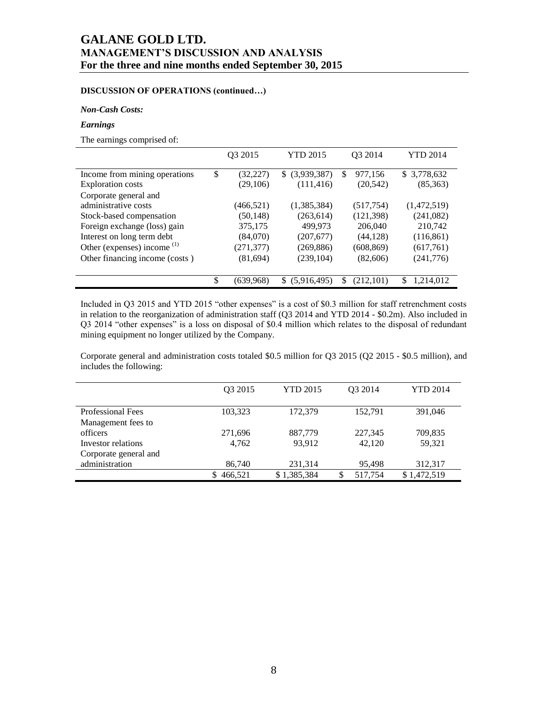# **DISCUSSION OF OPERATIONS (continued…)**

### *Non-Cash Costs:*

### *Earnings*

The earnings comprised of:

|                                | Q3 2015         | <b>YTD 2015</b> |    | O <sub>3</sub> 2014 | <b>YTD 2014</b> |
|--------------------------------|-----------------|-----------------|----|---------------------|-----------------|
| Income from mining operations  | \$<br>(32, 227) | \$ (3,939,387)  | \$ | 977,156             | \$3,778,632     |
| <b>Exploration costs</b>       | (29,106)        | (111, 416)      |    | (20, 542)           | (85,363)        |
| Corporate general and          |                 |                 |    |                     |                 |
| administrative costs           | (466, 521)      | (1,385,384)     |    | (517, 754)          | (1,472,519)     |
| Stock-based compensation       | (50, 148)       | (263, 614)      |    | (121, 398)          | (241,082)       |
| Foreign exchange (loss) gain   | 375,175         | 499,973         |    | 206,040             | 210,742         |
| Interest on long term debt     | (84,070)        | (207,677)       |    | (44, 128)           | (116, 861)      |
| Other (expenses) income $(1)$  | (271, 377)      | (269, 886)      |    | (608, 869)          | (617,761)       |
| Other financing income (costs) | (81, 694)       | (239, 104)      |    | (82,606)            | (241,776)       |
|                                |                 |                 |    |                     |                 |
|                                | \$<br>(639,968) | \$ (5,916,495)  | S  | (212,101)           | \$<br>1,214,012 |

Included in Q3 2015 and YTD 2015 "other expenses" is a cost of \$0.3 million for staff retrenchment costs in relation to the reorganization of administration staff (Q3 2014 and YTD 2014 - \$0.2m). Also included in Q3 2014 "other expenses" is a loss on disposal of \$0.4 million which relates to the disposal of redundant mining equipment no longer utilized by the Company.

Corporate general and administration costs totaled \$0.5 million for Q3 2015 (Q2 2015 - \$0.5 million), and includes the following:

|                          | O <sub>3</sub> 2015 | <b>YTD 2015</b> | O <sub>3</sub> 2014 | <b>YTD 2014</b> |
|--------------------------|---------------------|-----------------|---------------------|-----------------|
|                          |                     |                 |                     |                 |
| <b>Professional Fees</b> | 103,323             | 172,379         | 152,791             | 391,046         |
| Management fees to       |                     |                 |                     |                 |
| officers                 | 271,696             | 887,779         | 227,345             | 709,835         |
| Investor relations       | 4.762               | 93.912          | 42.120              | 59.321          |
| Corporate general and    |                     |                 |                     |                 |
| administration           | 86,740              | 231,314         | 95,498              | 312,317         |
|                          | 466,521             | \$1,385,384     | 517,754             | \$1,472,519     |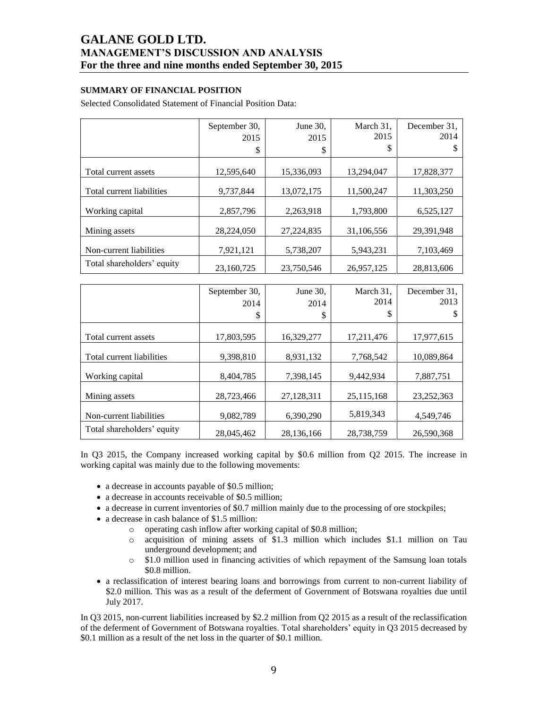# **SUMMARY OF FINANCIAL POSITION**

Selected Consolidated Statement of Financial Position Data:

|                            | September 30,<br>2015<br>\$ | June 30,<br>2015<br>\$ | March 31,<br>2015<br>\$ | December 31,<br>2014<br>Ъ |
|----------------------------|-----------------------------|------------------------|-------------------------|---------------------------|
|                            |                             |                        |                         |                           |
| Total current assets       | 12,595,640                  | 15,336,093             | 13,294,047              | 17,828,377                |
| Total current liabilities  | 9,737,844                   | 13,072,175             | 11,500,247              | 11,303,250                |
| Working capital            | 2,857,796                   | 2,263,918              | 1,793,800               | 6,525,127                 |
| Mining assets              | 28,224,050                  | 27,224,835             | 31,106,556              | 29,391,948                |
| Non-current liabilities    | 7,921,121                   | 5,738,207              | 5,943,231               | 7,103,469                 |
| Total shareholders' equity | 23,160,725                  | 23,750,546             | 26,957,125              | 28,813,606                |

|                            | September 30,<br>2014<br>\$ | June 30,<br>2014<br>\$ | March 31,<br>2014<br>\$ | December 31,<br>2013 |
|----------------------------|-----------------------------|------------------------|-------------------------|----------------------|
| Total current assets       | 17,803,595                  | 16,329,277             | 17,211,476              | 17,977,615           |
| Total current liabilities  | 9,398,810                   | 8,931,132              | 7,768,542               | 10,089,864           |
| Working capital            | 8,404,785                   | 7,398,145              | 9,442,934               | 7,887,751            |
| Mining assets              | 28,723,466                  | 27,128,311             | 25,115,168              | 23, 252, 363         |
| Non-current liabilities    | 9,082,789                   | 6,390,290              | 5,819,343               | 4,549,746            |
| Total shareholders' equity | 28,045,462                  | 28,136,166             | 28,738,759              | 26,590,368           |

In Q3 2015, the Company increased working capital by \$0.6 million from Q2 2015. The increase in working capital was mainly due to the following movements:

- a decrease in accounts payable of \$0.5 million;
- a decrease in accounts receivable of \$0.5 million;
- a decrease in current inventories of \$0.7 million mainly due to the processing of ore stockpiles;
- a decrease in cash balance of \$1.5 million:
	- o operating cash inflow after working capital of \$0.8 million;
	- o acquisition of mining assets of \$1.3 million which includes \$1.1 million on Tau underground development; and
	- o \$1.0 million used in financing activities of which repayment of the Samsung loan totals \$0.8 million.
- a reclassification of interest bearing loans and borrowings from current to non-current liability of \$2.0 million. This was as a result of the deferment of Government of Botswana royalties due until July 2017.

In Q3 2015, non-current liabilities increased by \$2.2 million from Q2 2015 as a result of the reclassification of the deferment of Government of Botswana royalties. Total shareholders' equity in Q3 2015 decreased by \$0.1 million as a result of the net loss in the quarter of \$0.1 million.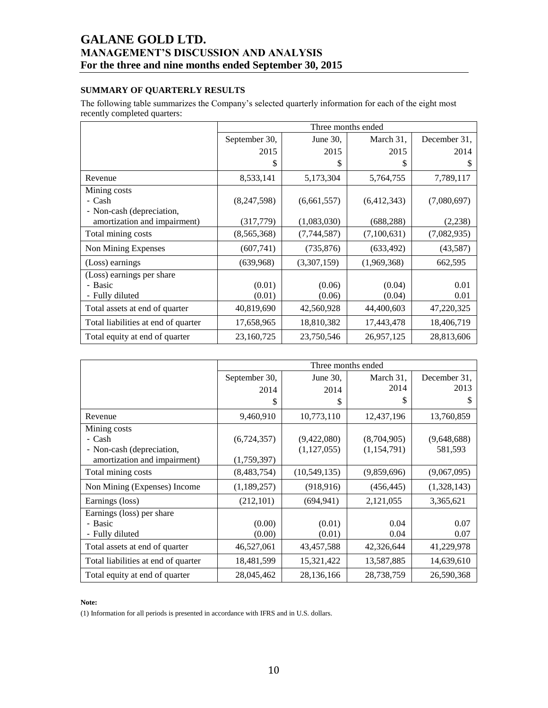# **SUMMARY OF QUARTERLY RESULTS**

The following table summarizes the Company's selected quarterly information for each of the eight most recently completed quarters:

|                                     |               | Three months ended |             |              |  |  |  |  |  |  |
|-------------------------------------|---------------|--------------------|-------------|--------------|--|--|--|--|--|--|
|                                     | September 30, | June $30$ ,        | March 31,   | December 31, |  |  |  |  |  |  |
|                                     | 2015          | 2015               | 2015        | 2014         |  |  |  |  |  |  |
|                                     | \$            | S                  | S           | \$           |  |  |  |  |  |  |
| Revenue                             | 8,533,141     | 5,173,304          | 5,764,755   | 7,789,117    |  |  |  |  |  |  |
| Mining costs                        |               |                    |             |              |  |  |  |  |  |  |
| - Cash                              | (8,247,598)   | (6,661,557)        | (6,412,343) | (7,080,697)  |  |  |  |  |  |  |
| - Non-cash (depreciation,           |               |                    |             |              |  |  |  |  |  |  |
| amortization and impairment)        | (317,779)     | (1,083,030)        | (688, 288)  | (2,238)      |  |  |  |  |  |  |
| Total mining costs                  | (8,565,368)   | (7,744,587)        | (7,100,631) | (7,082,935)  |  |  |  |  |  |  |
| Non Mining Expenses                 | (607,741)     | (735, 876)         | (633, 492)  | (43,587)     |  |  |  |  |  |  |
| (Loss) earnings                     | (639,968)     | (3,307,159)        | (1,969,368) | 662,595      |  |  |  |  |  |  |
| (Loss) earnings per share           |               |                    |             |              |  |  |  |  |  |  |
| - Basic                             | (0.01)        | (0.06)             | (0.04)      | 0.01         |  |  |  |  |  |  |
| - Fully diluted                     | (0.01)        | (0.06)             | (0.04)      | 0.01         |  |  |  |  |  |  |
| Total assets at end of quarter      | 40,819,690    | 42,560,928         | 44,400,603  | 47,220,325   |  |  |  |  |  |  |
| Total liabilities at end of quarter | 17,658,965    | 18,810,382         | 17,443,478  | 18,406,719   |  |  |  |  |  |  |
| Total equity at end of quarter      | 23,160,725    | 23,750,546         | 26,957,125  | 28,813,606   |  |  |  |  |  |  |

|                                     |               |                | Three months ended |              |
|-------------------------------------|---------------|----------------|--------------------|--------------|
|                                     | September 30, | June $30$ ,    | March 31,          | December 31. |
|                                     | 2014          | 2014           | 2014               | 2013         |
|                                     | \$            | \$             | S                  | \$           |
| Revenue                             | 9,460,910     | 10,773,110     | 12,437,196         | 13,760,859   |
| Mining costs                        |               |                |                    |              |
| - Cash                              | (6,724,357)   | (9,422,080)    | (8,704,905)        | (9,648,688)  |
| - Non-cash (depreciation,           |               | (1, 127, 055)  | (1,154,791)        | 581,593      |
| amortization and impairment)        | (1,759,397)   |                |                    |              |
| Total mining costs                  | (8,483,754)   | (10, 549, 135) | (9,859,696)        | (9,067,095)  |
| Non Mining (Expenses) Income        | (1,189,257)   | (918, 916)     | (456, 445)         | (1,328,143)  |
| Earnings (loss)                     | (212, 101)    | (694, 941)     | 2,121,055          | 3,365,621    |
| Earnings (loss) per share           |               |                |                    |              |
| - Basic                             | (0.00)        | (0.01)         | 0.04               | 0.07         |
| - Fully diluted                     | (0.00)        | (0.01)         | 0.04               | 0.07         |
| Total assets at end of quarter      | 46,527,061    | 43,457,588     | 42,326,644         | 41,229,978   |
| Total liabilities at end of quarter | 18,481,599    | 15,321,422     | 13,587,885         | 14,639,610   |
| Total equity at end of quarter      | 28,045,462    | 28,136,166     | 28,738,759         | 26,590,368   |

### **Note:**

(1) Information for all periods is presented in accordance with IFRS and in U.S. dollars.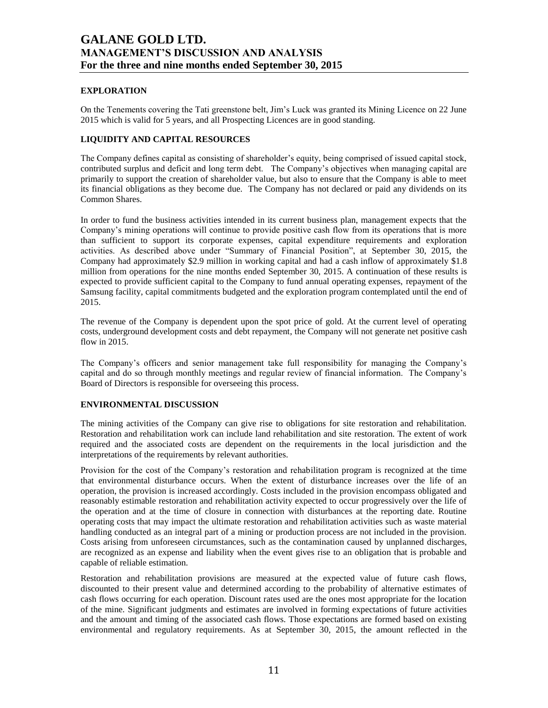# **EXPLORATION**

On the Tenements covering the Tati greenstone belt, Jim's Luck was granted its Mining Licence on 22 June 2015 which is valid for 5 years, and all Prospecting Licences are in good standing.

## **LIQUIDITY AND CAPITAL RESOURCES**

The Company defines capital as consisting of shareholder's equity, being comprised of issued capital stock, contributed surplus and deficit and long term debt. The Company's objectives when managing capital are primarily to support the creation of shareholder value, but also to ensure that the Company is able to meet its financial obligations as they become due. The Company has not declared or paid any dividends on its Common Shares.

In order to fund the business activities intended in its current business plan, management expects that the Company's mining operations will continue to provide positive cash flow from its operations that is more than sufficient to support its corporate expenses, capital expenditure requirements and exploration activities. As described above under "Summary of Financial Position", at September 30, 2015, the Company had approximately \$2.9 million in working capital and had a cash inflow of approximately \$1.8 million from operations for the nine months ended September 30, 2015. A continuation of these results is expected to provide sufficient capital to the Company to fund annual operating expenses, repayment of the Samsung facility, capital commitments budgeted and the exploration program contemplated until the end of 2015.

The revenue of the Company is dependent upon the spot price of gold. At the current level of operating costs, underground development costs and debt repayment, the Company will not generate net positive cash flow in 2015.

The Company's officers and senior management take full responsibility for managing the Company's capital and do so through monthly meetings and regular review of financial information. The Company's Board of Directors is responsible for overseeing this process.

## **ENVIRONMENTAL DISCUSSION**

The mining activities of the Company can give rise to obligations for site restoration and rehabilitation. Restoration and rehabilitation work can include land rehabilitation and site restoration. The extent of work required and the associated costs are dependent on the requirements in the local jurisdiction and the interpretations of the requirements by relevant authorities.

Provision for the cost of the Company's restoration and rehabilitation program is recognized at the time that environmental disturbance occurs. When the extent of disturbance increases over the life of an operation, the provision is increased accordingly. Costs included in the provision encompass obligated and reasonably estimable restoration and rehabilitation activity expected to occur progressively over the life of the operation and at the time of closure in connection with disturbances at the reporting date. Routine operating costs that may impact the ultimate restoration and rehabilitation activities such as waste material handling conducted as an integral part of a mining or production process are not included in the provision. Costs arising from unforeseen circumstances, such as the contamination caused by unplanned discharges, are recognized as an expense and liability when the event gives rise to an obligation that is probable and capable of reliable estimation.

Restoration and rehabilitation provisions are measured at the expected value of future cash flows, discounted to their present value and determined according to the probability of alternative estimates of cash flows occurring for each operation. Discount rates used are the ones most appropriate for the location of the mine. Significant judgments and estimates are involved in forming expectations of future activities and the amount and timing of the associated cash flows. Those expectations are formed based on existing environmental and regulatory requirements. As at September 30, 2015, the amount reflected in the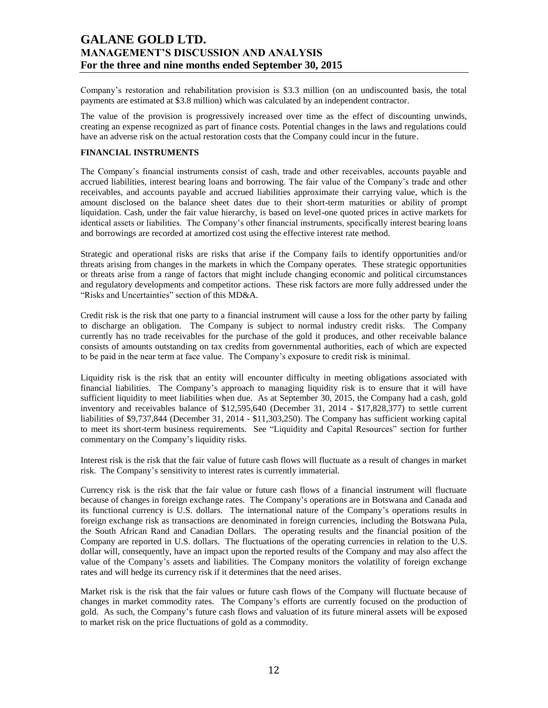Company's restoration and rehabilitation provision is \$3.3 million (on an undiscounted basis, the total payments are estimated at \$3.8 million) which was calculated by an independent contractor.

The value of the provision is progressively increased over time as the effect of discounting unwinds, creating an expense recognized as part of finance costs. Potential changes in the laws and regulations could have an adverse risk on the actual restoration costs that the Company could incur in the future.

## **FINANCIAL INSTRUMENTS**

The Company's financial instruments consist of cash, trade and other receivables, accounts payable and accrued liabilities, interest bearing loans and borrowing. The fair value of the Company's trade and other receivables, and accounts payable and accrued liabilities approximate their carrying value, which is the amount disclosed on the balance sheet dates due to their short-term maturities or ability of prompt liquidation. Cash, under the fair value hierarchy, is based on level-one quoted prices in active markets for identical assets or liabilities. The Company's other financial instruments, specifically interest bearing loans and borrowings are recorded at amortized cost using the effective interest rate method.

Strategic and operational risks are risks that arise if the Company fails to identify opportunities and/or threats arising from changes in the markets in which the Company operates. These strategic opportunities or threats arise from a range of factors that might include changing economic and political circumstances and regulatory developments and competitor actions. These risk factors are more fully addressed under the "Risks and Uncertainties" section of this MD&A.

Credit risk is the risk that one party to a financial instrument will cause a loss for the other party by failing to discharge an obligation. The Company is subject to normal industry credit risks. The Company currently has no trade receivables for the purchase of the gold it produces, and other receivable balance consists of amounts outstanding on tax credits from governmental authorities, each of which are expected to be paid in the near term at face value. The Company's exposure to credit risk is minimal.

Liquidity risk is the risk that an entity will encounter difficulty in meeting obligations associated with financial liabilities. The Company's approach to managing liquidity risk is to ensure that it will have sufficient liquidity to meet liabilities when due. As at September 30, 2015, the Company had a cash, gold inventory and receivables balance of \$12,595,640 (December 31, 2014 - \$17,828,377) to settle current liabilities of \$9,737,844 (December 31, 2014 - \$11,303,250). The Company has sufficient working capital to meet its short-term business requirements. See "Liquidity and Capital Resources" section for further commentary on the Company's liquidity risks.

Interest risk is the risk that the fair value of future cash flows will fluctuate as a result of changes in market risk. The Company's sensitivity to interest rates is currently immaterial.

Currency risk is the risk that the fair value or future cash flows of a financial instrument will fluctuate because of changes in foreign exchange rates. The Company's operations are in Botswana and Canada and its functional currency is U.S. dollars. The international nature of the Company's operations results in foreign exchange risk as transactions are denominated in foreign currencies, including the Botswana Pula, the South African Rand and Canadian Dollars. The operating results and the financial position of the Company are reported in U.S. dollars. The fluctuations of the operating currencies in relation to the U.S. dollar will, consequently, have an impact upon the reported results of the Company and may also affect the value of the Company's assets and liabilities. The Company monitors the volatility of foreign exchange rates and will hedge its currency risk if it determines that the need arises.

Market risk is the risk that the fair values or future cash flows of the Company will fluctuate because of changes in market commodity rates. The Company's efforts are currently focused on the production of gold. As such, the Company's future cash flows and valuation of its future mineral assets will be exposed to market risk on the price fluctuations of gold as a commodity.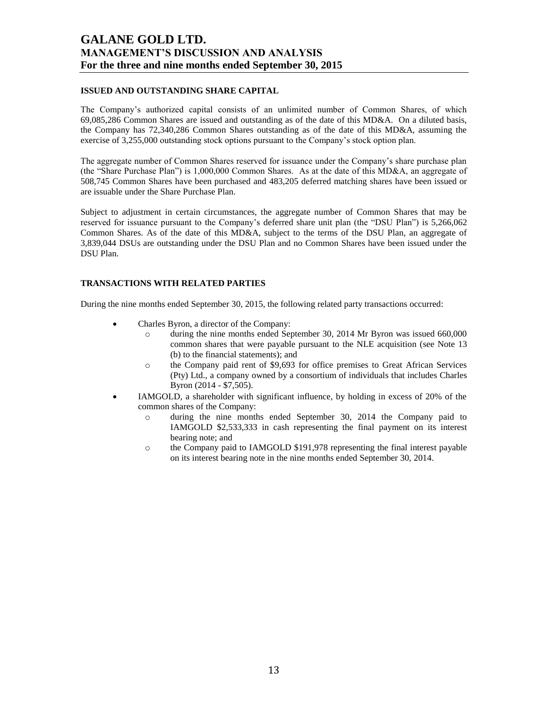## **ISSUED AND OUTSTANDING SHARE CAPITAL**

The Company's authorized capital consists of an unlimited number of Common Shares, of which 69,085,286 Common Shares are issued and outstanding as of the date of this MD&A. On a diluted basis, the Company has 72,340,286 Common Shares outstanding as of the date of this MD&A, assuming the exercise of 3,255,000 outstanding stock options pursuant to the Company's stock option plan.

The aggregate number of Common Shares reserved for issuance under the Company's share purchase plan (the "Share Purchase Plan") is 1,000,000 Common Shares. As at the date of this MD&A, an aggregate of 508,745 Common Shares have been purchased and 483,205 deferred matching shares have been issued or are issuable under the Share Purchase Plan.

Subject to adjustment in certain circumstances, the aggregate number of Common Shares that may be reserved for issuance pursuant to the Company's deferred share unit plan (the "DSU Plan") is 5,266,062 Common Shares. As of the date of this MD&A, subject to the terms of the DSU Plan, an aggregate of 3,839,044 DSUs are outstanding under the DSU Plan and no Common Shares have been issued under the DSU Plan.

### **TRANSACTIONS WITH RELATED PARTIES**

During the nine months ended September 30, 2015, the following related party transactions occurred:

- Charles Byron, a director of the Company:
	- o during the nine months ended September 30, 2014 Mr Byron was issued 660,000 common shares that were payable pursuant to the NLE acquisition (see Note 13 (b) to the financial statements); and
	- o the Company paid rent of \$9,693 for office premises to Great African Services (Pty) Ltd., a company owned by a consortium of individuals that includes Charles Byron (2014 - \$7,505).
- IAMGOLD, a shareholder with significant influence, by holding in excess of 20% of the common shares of the Company:
	- o during the nine months ended September 30, 2014 the Company paid to IAMGOLD \$2,533,333 in cash representing the final payment on its interest bearing note; and
	- o the Company paid to IAMGOLD \$191,978 representing the final interest payable on its interest bearing note in the nine months ended September 30, 2014.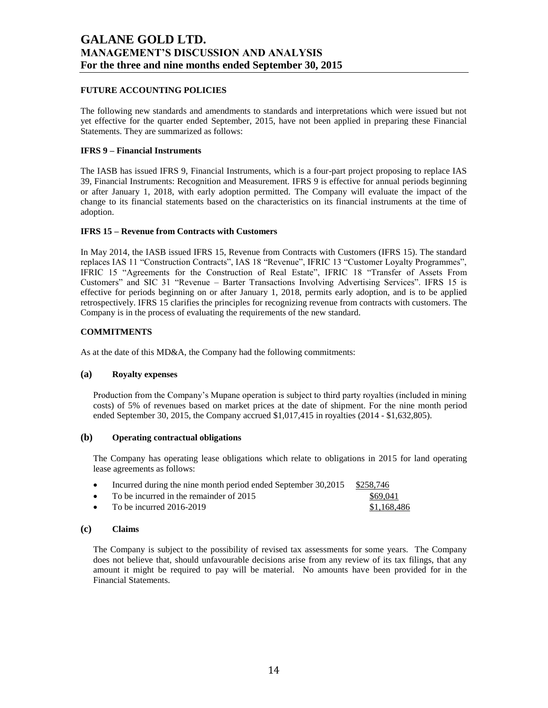## **FUTURE ACCOUNTING POLICIES**

The following new standards and amendments to standards and interpretations which were issued but not yet effective for the quarter ended September, 2015, have not been applied in preparing these Financial Statements. They are summarized as follows:

### **IFRS 9 – Financial Instruments**

The IASB has issued IFRS 9, Financial Instruments, which is a four-part project proposing to replace IAS 39, Financial Instruments: Recognition and Measurement. IFRS 9 is effective for annual periods beginning or after January 1, 2018, with early adoption permitted. The Company will evaluate the impact of the change to its financial statements based on the characteristics on its financial instruments at the time of adoption.

### **IFRS 15 – Revenue from Contracts with Customers**

In May 2014, the IASB issued IFRS 15, Revenue from Contracts with Customers (IFRS 15). The standard replaces IAS 11 "Construction Contracts", IAS 18 "Revenue", IFRIC 13 "Customer Loyalty Programmes", IFRIC 15 "Agreements for the Construction of Real Estate", IFRIC 18 "Transfer of Assets From Customers" and SIC 31 "Revenue – Barter Transactions Involving Advertising Services". IFRS 15 is effective for periods beginning on or after January 1, 2018, permits early adoption, and is to be applied retrospectively. IFRS 15 clarifies the principles for recognizing revenue from contracts with customers. The Company is in the process of evaluating the requirements of the new standard.

## **COMMITMENTS**

As at the date of this MD&A, the Company had the following commitments:

## **(a) Royalty expenses**

Production from the Company's Mupane operation is subject to third party royalties (included in mining costs) of 5% of revenues based on market prices at the date of shipment. For the nine month period ended September 30, 2015, the Company accrued \$1,017,415 in royalties (2014 - \$1,632,805).

### **(b) Operating contractual obligations**

The Company has operating lease obligations which relate to obligations in 2015 for land operating lease agreements as follows:

|           | Incurred during the nine month period ended September 30,2015 | \$258.746   |
|-----------|---------------------------------------------------------------|-------------|
|           | • To be incurred in the remainder of $2015$                   | \$69.041    |
| $\bullet$ | To be incurred $2016-2019$                                    | \$1,168,486 |

### **(c) Claims**

The Company is subject to the possibility of revised tax assessments for some years. The Company does not believe that, should unfavourable decisions arise from any review of its tax filings, that any amount it might be required to pay will be material. No amounts have been provided for in the Financial Statements.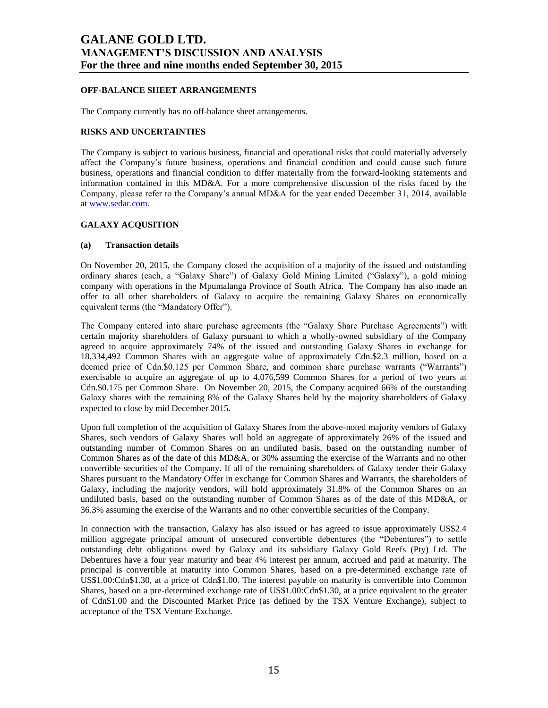## **OFF-BALANCE SHEET ARRANGEMENTS**

The Company currently has no off-balance sheet arrangements.

### **RISKS AND UNCERTAINTIES**

The Company is subject to various business, financial and operational risks that could materially adversely affect the Company's future business, operations and financial condition and could cause such future business, operations and financial condition to differ materially from the forward-looking statements and information contained in this MD&A. For a more comprehensive discussion of the risks faced by the Company, please refer to the Company's annual MD&A for the year ended December 31, 2014, available a[t www.sedar.com.](http://www.sedar.com/)

# **GALAXY ACQUSITION**

### **(a) Transaction details**

On November 20, 2015, the Company closed the acquisition of a majority of the issued and outstanding ordinary shares (each, a "Galaxy Share") of Galaxy Gold Mining Limited ("Galaxy"), a gold mining company with operations in the Mpumalanga Province of South Africa. The Company has also made an offer to all other shareholders of Galaxy to acquire the remaining Galaxy Shares on economically equivalent terms (the "Mandatory Offer").

The Company entered into share purchase agreements (the "Galaxy Share Purchase Agreements") with certain majority shareholders of Galaxy pursuant to which a wholly-owned subsidiary of the Company agreed to acquire approximately 74% of the issued and outstanding Galaxy Shares in exchange for 18,334,492 Common Shares with an aggregate value of approximately Cdn.\$2.3 million, based on a deemed price of Cdn.\$0.125 per Common Share, and common share purchase warrants ("Warrants") exercisable to acquire an aggregate of up to 4,076,599 Common Shares for a period of two years at Cdn.\$0.175 per Common Share. On November 20, 2015, the Company acquired 66% of the outstanding Galaxy shares with the remaining 8% of the Galaxy Shares held by the majority shareholders of Galaxy expected to close by mid December 2015.

Upon full completion of the acquisition of Galaxy Shares from the above-noted majority vendors of Galaxy Shares, such vendors of Galaxy Shares will hold an aggregate of approximately 26% of the issued and outstanding number of Common Shares on an undiluted basis, based on the outstanding number of Common Shares as of the date of this MD&A, or 30% assuming the exercise of the Warrants and no other convertible securities of the Company. If all of the remaining shareholders of Galaxy tender their Galaxy Shares pursuant to the Mandatory Offer in exchange for Common Shares and Warrants, the shareholders of Galaxy, including the majority vendors, will hold approximately 31.8% of the Common Shares on an undiluted basis, based on the outstanding number of Common Shares as of the date of this MD&A, or 36.3% assuming the exercise of the Warrants and no other convertible securities of the Company.

In connection with the transaction, Galaxy has also issued or has agreed to issue approximately US\$2.4 million aggregate principal amount of unsecured convertible debentures (the "Debentures") to settle outstanding debt obligations owed by Galaxy and its subsidiary Galaxy Gold Reefs (Pty) Ltd. The Debentures have a four year maturity and bear 4% interest per annum, accrued and paid at maturity. The principal is convertible at maturity into Common Shares, based on a pre-determined exchange rate of US\$1.00:Cdn\$1.30, at a price of Cdn\$1.00. The interest payable on maturity is convertible into Common Shares, based on a pre-determined exchange rate of US\$1.00:Cdn\$1.30, at a price equivalent to the greater of Cdn\$1.00 and the Discounted Market Price (as defined by the TSX Venture Exchange), subject to acceptance of the TSX Venture Exchange.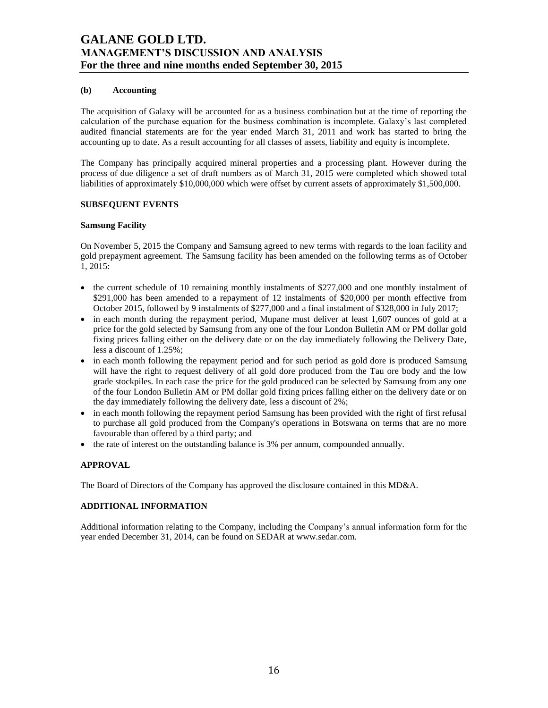## **(b) Accounting**

The acquisition of Galaxy will be accounted for as a business combination but at the time of reporting the calculation of the purchase equation for the business combination is incomplete. Galaxy's last completed audited financial statements are for the year ended March 31, 2011 and work has started to bring the accounting up to date. As a result accounting for all classes of assets, liability and equity is incomplete.

The Company has principally acquired mineral properties and a processing plant. However during the process of due diligence a set of draft numbers as of March 31, 2015 were completed which showed total liabilities of approximately \$10,000,000 which were offset by current assets of approximately \$1,500,000.

## **SUBSEQUENT EVENTS**

## **Samsung Facility**

On November 5, 2015 the Company and Samsung agreed to new terms with regards to the loan facility and gold prepayment agreement. The Samsung facility has been amended on the following terms as of October 1, 2015:

- the current schedule of 10 remaining monthly instalments of \$277,000 and one monthly instalment of \$291,000 has been amended to a repayment of 12 instalments of \$20,000 per month effective from October 2015, followed by 9 instalments of \$277,000 and a final instalment of \$328,000 in July 2017;
- in each month during the repayment period, Mupane must deliver at least 1,607 ounces of gold at a price for the gold selected by Samsung from any one of the four London Bulletin AM or PM dollar gold fixing prices falling either on the delivery date or on the day immediately following the Delivery Date, less a discount of 1.25%;
- in each month following the repayment period and for such period as gold dore is produced Samsung will have the right to request delivery of all gold dore produced from the Tau ore body and the low grade stockpiles. In each case the price for the gold produced can be selected by Samsung from any one of the four London Bulletin AM or PM dollar gold fixing prices falling either on the delivery date or on the day immediately following the delivery date, less a discount of 2%;
- in each month following the repayment period Samsung has been provided with the right of first refusal to purchase all gold produced from the Company's operations in Botswana on terms that are no more favourable than offered by a third party; and
- the rate of interest on the outstanding balance is 3% per annum, compounded annually.

## **APPROVAL**

The Board of Directors of the Company has approved the disclosure contained in this MD&A.

## **ADDITIONAL INFORMATION**

Additional information relating to the Company, including the Company's annual information form for the year ended December 31, 2014, can be found on SEDAR at www.sedar.com.